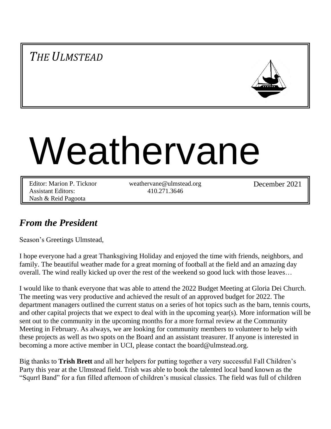# *THE ULMSTEAD*



# Weathervane

Editor: Marion P. Ticknor Assistant Editors: Nash & Reid Pagoota

weathervane@ulmstead.org 410.271.3646

December 2021

# *From the President*

Season's Greetings Ulmstead,

I hope everyone had a great Thanksgiving Holiday and enjoyed the time with friends, neighbors, and family. The beautiful weather made for a great morning of football at the field and an amazing day overall. The wind really kicked up over the rest of the weekend so good luck with those leaves…

I would like to thank everyone that was able to attend the 2022 Budget Meeting at Gloria Dei Church. The meeting was very productive and achieved the result of an approved budget for 2022. The department managers outlined the current status on a series of hot topics such as the barn, tennis courts, and other capital projects that we expect to deal with in the upcoming year(s). More information will be sent out to the community in the upcoming months for a more formal review at the Community Meeting in February. As always, we are looking for community members to volunteer to help with these projects as well as two spots on the Board and an assistant treasurer. If anyone is interested in becoming a more active member in UCI, please contact the board@ulmstead.org.

Big thanks to **Trish Brett** and all her helpers for putting together a very successful Fall Children's Party this year at the Ulmstead field. Trish was able to book the talented local band known as the "Squrrl Band" for a fun filled afternoon of children's musical classics. The field was full of children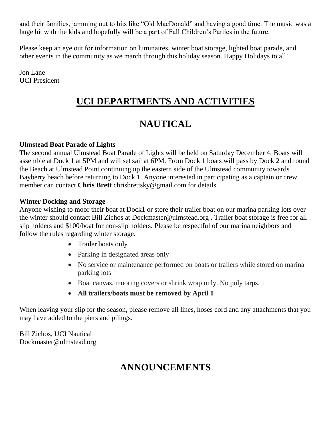and their families, jamming out to hits like "Old MacDonald" and having a good time. The music was a huge hit with the kids and hopefully will be a part of Fall Children's Parties in the future.

Please keep an eye out for information on luminaires, winter boat storage, lighted boat parade, and other events in the community as we march through this holiday season. Happy Holidays to all!

Jon Lane UCI President

# **UCI DEPARTMENTS AND ACTIVITIES**

# **NAUTICAL**

#### **Ulmstead Boat Parade of Lights**

The second annual Ulmstead Boat Parade of Lights will be held on Saturday December 4. Boats will assemble at Dock 1 at 5PM and will set sail at 6PM. From Dock 1 boats will pass by Dock 2 and round the Beach at Ulmstead Point continuing up the eastern side of the Ulmstead community towards Bayberry beach before returning to Dock 1. Anyone interested in participating as a captain or crew member can contact **Chris Brett** chrisbrettsky@gmail.com for details.

#### **Winter Docking and Storage**

Anyone wishing to moor their boat at Dock1 or store their trailer boat on our marina parking lots over the winter should contact Bill Zichos at Dockmaster@ulmstead.org . Trailer boat storage is free for all slip holders and \$100/boat for non-slip holders. Please be respectful of our marina neighbors and follow the rules regarding winter storage.

- Trailer boats only
- Parking in designated areas only
- No service or maintenance performed on boats or trailers while stored on marina parking lots
- Boat canvas, mooring covers or shrink wrap only. No poly tarps.
- **All trailers/boats must be removed by April 1**

When leaving your slip for the season, please remove all lines, hoses cord and any attachments that you may have added to the piers and pilings.

Bill Zichos, UCI Nautical Dockmaster@ulmstead.org

# **ANNOUNCEMENTS**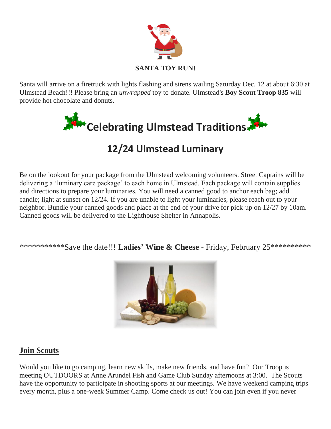

Santa will arrive on a firetruck with lights flashing and sirens wailing Saturday Dec. 12 at about 6:30 at Ulmstead Beach!!! Please bring an *unwrapped* toy to donate. Ulmstead's **Boy Scout Troop 835** will provide hot chocolate and donuts.



# **12/24 Ulmstead Luminary**

Be on the lookout for your package from the Ulmstead welcoming volunteers. Street Captains will be delivering a 'luminary care package' to each home in Ulmstead. Each package will contain supplies and directions to prepare your luminaries. You will need a canned good to anchor each bag; add candle; light at sunset on 12/24. If you are unable to light your luminaries, please reach out to your neighbor. Bundle your canned goods and place at the end of your drive for pick-up on 12/27 by 10am. Canned goods will be delivered to the Lighthouse Shelter in Annapolis.

\*\*\*\*\*\*\*\*\*\*\*Save the date!!! **Ladies' Wine & Cheese** - Friday, February 25\*\*\*\*\*\*\*\*\*\*



#### **Join Scouts**

Would you like to go camping, learn new skills, make new friends, and have fun? Our Troop is meeting OUTDOORS at Anne Arundel Fish and Game Club Sunday afternoons at 3:00. The Scouts have the opportunity to participate in shooting sports at our meetings. We have weekend camping trips every month, plus a one-week Summer Camp. Come check us out! You can join even if you never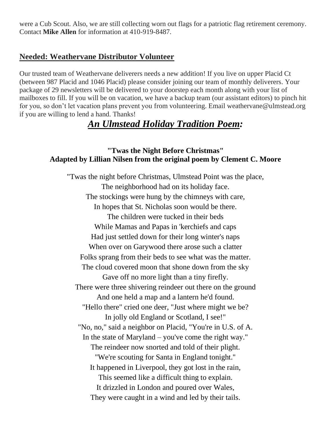were a Cub Scout. Also, we are still collecting worn out flags for a patriotic flag retirement ceremony. Contact **Mike Allen** for information at 410-919-8487.

#### **Needed: Weathervane Distributor Volunteer**

Our trusted team of Weathervane deliverers needs a new addition! If you live on upper Placid Ct (between 987 Placid and 1046 Placid) please consider joining our team of monthly deliverers. Your package of 29 newsletters will be delivered to your doorstep each month along with your list of mailboxes to fill. If you will be on vacation, we have a backup team (our assistant editors) to pinch hit for you, so don't let vacation plans prevent you from volunteering. Email weathervane@ulmstead.org if you are willing to lend a hand. Thanks!

## *An Ulmstead Holiday Tradition Poem:*

#### **"Twas the Night Before Christmas" Adapted by Lillian Nilsen from the original poem by Clement C. Moore**

"Twas the night before Christmas, Ulmstead Point was the place, The neighborhood had on its holiday face. The stockings were hung by the chimneys with care, In hopes that St. Nicholas soon would be there. The children were tucked in their beds While Mamas and Papas in 'kerchiefs and caps Had just settled down for their long winter's naps When over on Garywood there arose such a clatter Folks sprang from their beds to see what was the matter. The cloud covered moon that shone down from the sky Gave off no more light than a tiny firefly. There were three shivering reindeer out there on the ground And one held a map and a lantern he'd found. "Hello there" cried one deer, "Just where might we be? In jolly old England or Scotland, I see!" "No, no," said a neighbor on Placid, "You're in U.S. of A. In the state of Maryland – you've come the right way." The reindeer now snorted and told of their plight. "We're scouting for Santa in England tonight." It happened in Liverpool, they got lost in the rain, This seemed like a difficult thing to explain. It drizzled in London and poured over Wales, They were caught in a wind and led by their tails.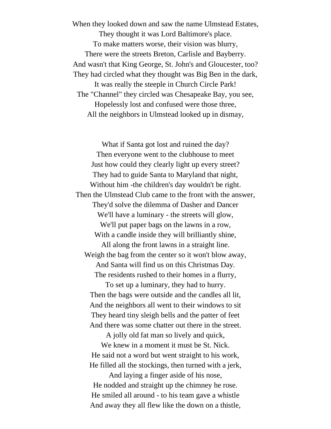When they looked down and saw the name Ulmstead Estates, They thought it was Lord Baltimore's place. To make matters worse, their vision was blurry, There were the streets Breton, Carlisle and Bayberry. And wasn't that King George, St. John's and Gloucester, too? They had circled what they thought was Big Ben in the dark, It was really the steeple in Church Circle Park! The "Channel" they circled was Chesapeake Bay, you see, Hopelessly lost and confused were those three, All the neighbors in Ulmstead looked up in dismay,

What if Santa got lost and ruined the day? Then everyone went to the clubhouse to meet Just how could they clearly light up every street? They had to guide Santa to Maryland that night, Without him -the children's day wouldn't be right. Then the Ulmstead Club came to the front with the answer, They'd solve the dilemma of Dasher and Dancer We'll have a luminary - the streets will glow, We'll put paper bags on the lawns in a row, With a candle inside they will brilliantly shine, All along the front lawns in a straight line. Weigh the bag from the center so it won't blow away, And Santa will find us on this Christmas Day. The residents rushed to their homes in a flurry, To set up a luminary, they had to hurry. Then the bags were outside and the candles all lit, And the neighbors all went to their windows to sit They heard tiny sleigh bells and the patter of feet And there was some chatter out there in the street. A jolly old fat man so lively and quick, We knew in a moment it must be St. Nick. He said not a word but went straight to his work, He filled all the stockings, then turned with a jerk, And laying a finger aside of his nose,

He nodded and straight up the chimney he rose. He smiled all around - to his team gave a whistle And away they all flew like the down on a thistle,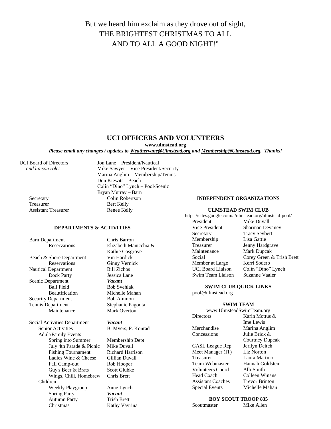### But we heard him exclaim as they drove out of sight, THE BRIGHTEST CHRISTMAS TO ALL AND TO ALL A GOOD NIGHT!"

#### **UCI OFFICERS AND VOLUNTEERS**

**www.ulmstead.org**

*Please email any changes / updates to Weathervane@Ulmstead.org and Membership@Ulmstead.org. Thanks!*

Treasurer Bert Kelly Assistant Treasurer Renee Kelly

UCI Board of Directors Jon Lane – President/Nautical  *and liaison roles* Mike Sawyer – Vice President/Security Marina Anglim – Membership/Tennis Don Kiewitt – Beach Colin "Dino" Lynch – Pool/Scenic Bryan Murray – Barn Secretary Colin Robertson

**DEPARTMENTS & ACTIVITIES**

Beach & Shore Department Vin Hardick Reservations Ginny Vernick<br>Department Bill Zichos Nautical Department Dock Party<br> **Example 18 Separt Property**<br> **Vacant Scenic Department** Ball Field Bob Svehlak Beautification Michelle Mahan Security Department Bob Ammon Tennis Department Stephanie Pagoota Maintenance Mark Overton

Social Activities Department *Vacant* Senior Activities B. Myers, P. Konrad Adult/Family Events Spring into Summer Membership Dept<br>July 4th Parade & Picnic Mike Duvall July 4th Parade & Picnic Fishing Tournament Richard Harrison Ladies Wine & Cheese Gillian Duvall<br>Fall Camp-out Rob Hooper Fall Camp-out Guy's Beer & Brats Scott Glubke<br>Wings. Chili. Homebrew Chris Brett Wings, Chili, Homebrew Children Weekly Playgroup Anne Lynch Spring Party *Vacant* Autumn Party Trish Brett Christmas Kathy Vavrina

Barn Department Chris Barron Reservations Elizabeth Manicchia & Kathie Cosgrove

#### **INDEPENDENT ORGANIZATIONS**

#### **ULMSTEAD SWIM CLUB**

https://sites.google.com/a/ulmstead.org/ulmstead-pool/ President Mike Duvall Vice President Sharman Devaney Secretary Tracy Seybert<br>
Membership Lisa Gattie Membership Treasurer Jenny Hardgrave Maintenance Mark Dupcak Social Corey Green & Trish Brett Member at Large Kerri Sodero UCI Board Liaison Colin "Dino" Lynch Swim Team Liaison Suzanne Vaaler

#### **SWIM CLUB QUICK LINKS**

pool@ulmstead.org

#### **SWIM TEAM**

| www.UlmsteadSwimTeam.org |                   |  |  |
|--------------------------|-------------------|--|--|
| <b>Directors</b>         | Karin Mottus $\&$ |  |  |
|                          | Ime Lewis         |  |  |
| Merchandise              | Marina Anglim     |  |  |
| Concessions              | Julie Brick &     |  |  |
|                          | Courtney Dupcak   |  |  |
| <b>GASL</b> League Rep   | Jerilyn Deitch    |  |  |
| Meet Manager (IT)        | Liz Norton        |  |  |
| <b>Treasurer</b>         | Laura Martino     |  |  |
| <b>Team Webmaster</b>    | Hannah Goldstein  |  |  |
| <b>Volunteers Coord</b>  | Alli Smith        |  |  |
| Head Coach               | Colleen Winans    |  |  |
|                          |                   |  |  |

Assistant Coaches Trevor Brinton Special Events Michelle Mahan

#### **BOY SCOUT TROOP 835**

Mike Allen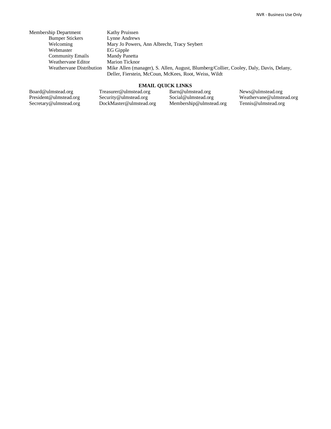| Membership Department    | Kathy Pruissen                                                                                                                                  |
|--------------------------|-------------------------------------------------------------------------------------------------------------------------------------------------|
| <b>Bumper Stickers</b>   | Lynne Andrews                                                                                                                                   |
| Welcoming                | Mary Jo Powers, Ann Albrecht, Tracy Seybert                                                                                                     |
| Webmaster                | EG Gipple                                                                                                                                       |
| <b>Community Emails</b>  | Mandy Panetta                                                                                                                                   |
| Weathervane Editor       | Marion Ticknor                                                                                                                                  |
| Weathervane Distribution | Mike Allen (manager), S. Allen, August, Blumberg/Collier, Cooley, Daly, Davis, Delany,<br>Deller, Fierstein, McCoun, McKees, Root, Weiss, Wildt |

#### **EMAIL QUICK LINKS**

Board@ulmstead.org President@ulmstead.org Secretary@ulmstead.org Treasurer@ulmstead.org Security@ulmstead.org DockMaster@ulmstead.org Barn@ulmstead.org Social@ulmstead.org Membership@ulmstead.org

News@ulmstead.org Weathervane@ulmstead.org Tennis@ulmstead.org